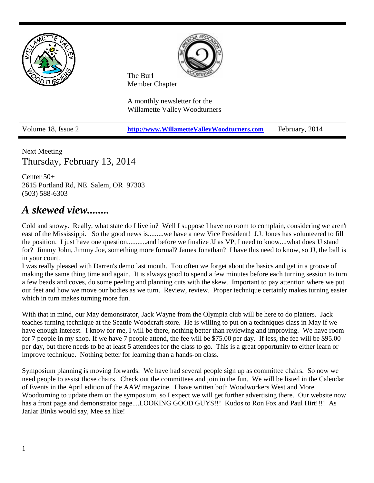

Next Meeting Thursday, February 13, 2014

Center 50+ 2615 Portland Rd, NE. Salem, OR 97303 (503) 588-6303

## *A skewed view........*

Cold and snowy. Really, what state do I live in? Well I suppose I have no room to complain, considering we aren't east of the Mississippi. So the good news is.........we have a new Vice President! J.J. Jones has volunteered to fill the position. I just have one question...........and before we finalize JJ as VP, I need to know....what does JJ stand for? Jimmy John, Jimmy Joe, something more formal? James Jonathan? I have this need to know, so JJ, the ball is in your court.

I was really pleased with Darren's demo last month. Too often we forget about the basics and get in a groove of making the same thing time and again. It is always good to spend a few minutes before each turning session to turn a few beads and coves, do some peeling and planning cuts with the skew. Important to pay attention where we put our feet and how we move our bodies as we turn. Review, review. Proper technique certainly makes turning easier which in turn makes turning more fun.

With that in mind, our May demonstrator, Jack Wayne from the Olympia club will be here to do platters. Jack teaches turning technique at the Seattle Woodcraft store. He is willing to put on a techniques class in May if we have enough interest. I know for me, I will be there, nothing better than reviewing and improving. We have room for 7 people in my shop. If we have 7 people attend, the fee will be \$75.00 per day. If less, the fee will be \$95.00 per day, but there needs to be at least 5 attendees for the class to go. This is a great opportunity to either learn or improve technique. Nothing better for learning than a hands-on class.

Symposium planning is moving forwards. We have had several people sign up as committee chairs. So now we need people to assist those chairs. Check out the committees and join in the fun. We will be listed in the Calendar of Events in the April edition of the AAW magazine. I have written both Woodworkers West and More Woodturning to update them on the symposium, so I expect we will get further advertising there. Our website now has a front page and demonstrator page....LOOKING GOOD GUYS!!! Kudos to Ron Fox and Paul Hirt!!!! As JarJar Binks would say, Mee sa like!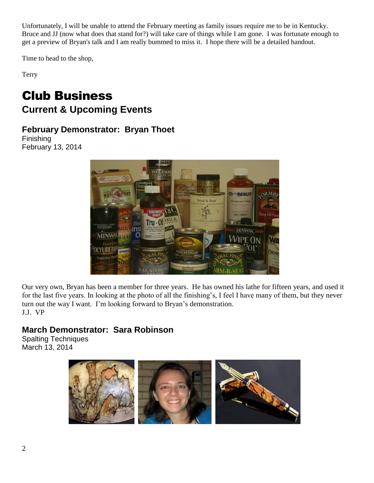Unfortunately, I will be unable to attend the February meeting as family issues require me to be in Kentucky. Bruce and JJ (now what does that stand for?) will take care of things while I am gone. I was fortunate enough to get a preview of Bryan's talk and I am really bummed to miss it. I hope there will be a detailed handout.

Time to head to the shop,

Terry

## Club Business **Current & Upcoming Events**

### **February Demonstrator: Bryan Thoet**

Finishing February 13, 2014



Our very own, Bryan has been a member for three years. He has owned his lathe for fifteen years, and used it for the last five years. In looking at the photo of all the finishing's, I feel I have many of them, but they never turn out the way I want. I'm looking forward to Bryan's demonstration. J.J. VP

## **March Demonstrator: Sara Robinson**

Spalting Techniques March 13, 2014

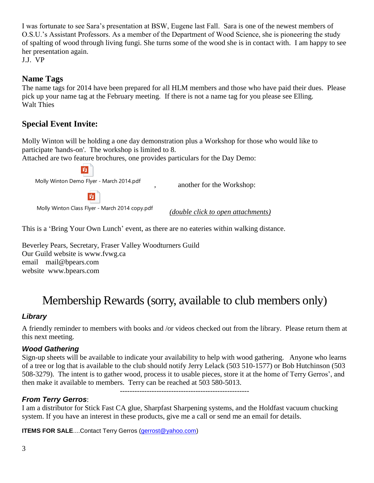I was fortunate to see Sara's presentation at BSW, Eugene last Fall. Sara is one of the newest members of O.S.U.'s Assistant Professors. As a member of the Department of Wood Science, she is pioneering the study of spalting of wood through living fungi. She turns some of the wood she is in contact with. I am happy to see her presentation again.

J.J. VP

#### **Name Tags**

The name tags for 2014 have been prepared for all HLM members and those who have paid their dues. Please pick up your name tag at the February meeting. If there is not a name tag for you please see Elling. Walt Thies

### **Special Event Invite:**

Molly Winton will be holding a one day demonstration plus a Workshop for those who would like to participate 'hands-on'. The workshop is limited to 8.

Attached are two feature brochures, one provides particulars for the Day Demo:

Molly Winton Demo Flyer - March 2014.pdf

班

, another for the Workshop:



Molly Winton Class Flyer - March 2014 copy.pdf

*(double click to open attachments)*

This is a 'Bring Your Own Lunch' event, as there are no eateries within walking distance.

Beverley Pears, Secretary, Fraser Valley Woodturners Guild Our Guild website is [www.fvwg.ca](http://www.fvwg.ca/) email [mail@bpears.com](mailto:mail@bpears.com) website [www.bpears.com](http://www.bpears.com/)

# Membership Rewards (sorry, available to club members only)

#### *Library*

A friendly reminder to members with books and /or videos checked out from the library. Please return them at this next meeting.

#### *Wood Gathering*

Sign-up sheets will be available to indicate your availability to help with wood gathering. Anyone who learns of a tree or log that is available to the club should notify Jerry Lelack (503 510-1577) or Bob Hutchinson (503 508-3279). The intent is to gather wood, process it to usable pieces, store it at the home of Terry Gerros', and then make it available to members. Terry can be reached at 503 580-5013. -----------------------------------------------------

#### *From Terry Gerros*:

I am a distributor for Stick Fast CA glue, Sharpfast Sharpening systems, and the Holdfast vacuum chucking system. If you have an interest in these products, give me a call or send me an email for details.

**ITEMS FOR SALE....Contact Terry Gerros [\(gerrost@yahoo.com\)](mailto:gerrost@yahoo.com)**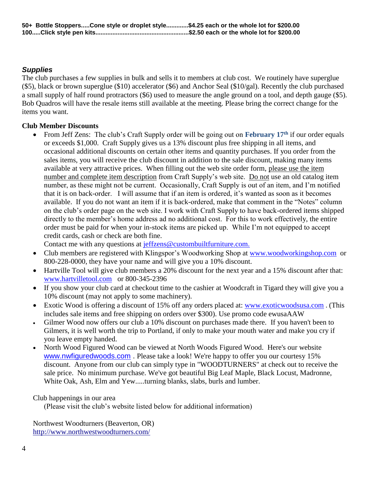#### *Supplies*

The club purchases a few supplies in bulk and sells it to members at club cost. We routinely have superglue (\$5), black or brown superglue (\$10) accelerator (\$6) and Anchor Seal (\$10/gal). Recently the club purchased a small supply of half round protractors (\$6) used to measure the angle ground on a tool, and depth gauge (\$5). Bob Quadros will have the resale items still available at the meeting. Please bring the correct change for the items you want.

#### **Club Member Discounts**

 From Jeff Zens: The club's Craft Supply order will be going out on **February 17th** if our order equals or exceeds \$1,000. Craft Supply gives us a 13% discount plus free shipping in all items, and occasional additional discounts on certain other items and quantity purchases. If you order from the sales items, you will receive the club discount in addition to the sale discount, making many items available at very attractive prices. When filling out the web site order form, please use the item number and complete item description from Craft Supply's web site. Do not use an old catalog item number, as these might not be current. Occasionally, Craft Supply is out of an item, and I'm notified that it is on back-order. I will assume that if an item is ordered, it's wanted as soon as it becomes available. If you do not want an item if it is back-ordered, make that comment in the "Notes" column on the club's order page on the web site. I work with Craft Supply to have back-ordered items shipped directly to the member's home address ad no additional cost. For this to work effectively, the entire order must be paid for when your in-stock items are picked up. While I'm not equipped to accept credit cards, cash or check are both fine.

Contact me with any questions at [jeffzens@custombuiltfurniture.com.](mailto:jeffzens@custombuiltfurniture.com.)

- Club members are registered with Klingspor's Woodworking Shop at [www.woodworkingshop.com](http://www.woodworkingshop.com/) or 800-228-0000, they have your name and will give you a 10% discount.
- Hartville Tool will give club members a 20% discount for the next year and a 15% discount after that: [www.hartvilletool.com](http://www.hartvilletool.com/) or 800-345-2396
- If you show your club card at checkout time to the cashier at Woodcraft in Tigard they will give you a 10% discount (may not apply to some machinery).
- Exotic Wood is offering a discount of 15% off any orders placed at: [www.exoticwoodsusa.com](http://www.exoticwoodsusa.com/) . (This includes sale items and free shipping on orders over \$300). Use promo code ewusaAAW
- Gilmer Wood now offers our club a 10% discount on purchases made there. If you haven't been to Gilmers, it is well worth the trip to Portland, if only to make your mouth water and make you cry if you leave empty handed.
- North Wood Figured Wood can be viewed at North Woods Figured Wood. Here's our website [www.nwfiguredwoods.com](http://www.nwfiguredwoods.com/) . Please take a look! We're happy to offer you our courtesy 15% discount. Anyone from our club can simply type in "WOODTURNERS" at check out to receive the sale price. No minimum purchase. We've got beautiful Big Leaf Maple, Black Locust, Madronne, White Oak, Ash, Elm and Yew.....turning blanks, slabs, burls and lumber.

#### Club happenings in our area

(Please visit the club's website listed below for additional information)

Northwest Woodturners (Beaverton, OR) <http://www.northwestwoodturners.com/>